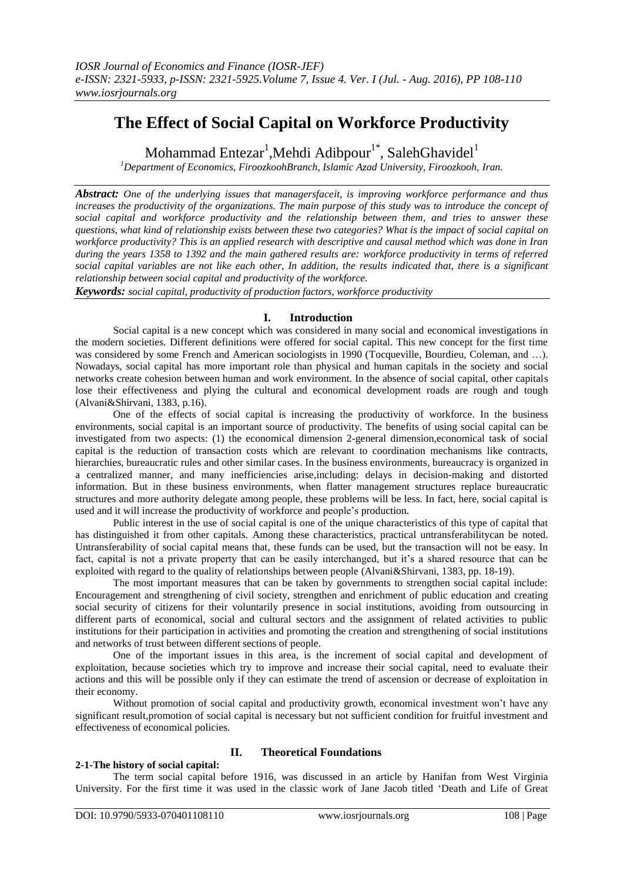# **The Effect of Social Capital on Workforce Productivity**

Mohammad Entezar<sup>1</sup>, Mehdi Adibpour<sup>1\*</sup>, Saleh Ghavidel<sup>1</sup>

*<sup>1</sup>Department of Economics, FiroozkoohBranch, Islamic Azad University, Firoozkooh, Iran.*

*Abstract: One of the underlying issues that managersfaceit, is improving workforce performance and thus increases the productivity of the organizations. The main purpose of this study was to introduce the concept of social capital and workforce productivity and the relationship between them, and tries to answer these questions, what kind of relationship exists between these two categories? What is the impact of social capital on workforce productivity? This is an applied research with descriptive and causal method which was done in Iran during the years 1358 to 1392 and the main gathered results are: workforce productivity in terms of referred social capital variables are not like each other, In addition, the results indicated that, there is a significant relationship between social capital and productivity of the workforce.*

*Keywords: social capital, productivity of production factors, workforce productivity*

#### **I. Introduction**

Social capital is a new concept which was considered in many social and economical investigations in the modern societies. Different definitions were offered for social capital. This new concept for the first time was considered by some French and American sociologists in 1990 (Tocqueville, Bourdieu, Coleman, and ...). Nowadays, social capital has more important role than physical and human capitals in the society and social networks create cohesion between human and work environment. In the absence of social capital, other capitals lose their effectiveness and plying the cultural and economical development roads are rough and tough (Alvani&Shirvani, 1383, p.16).

One of the effects of social capital is increasing the productivity of workforce. In the business environments, social capital is an important source of productivity. The benefits of using social capital can be investigated from two aspects: (1) the economical dimension 2-general dimension,economical task of social capital is the reduction of transaction costs which are relevant to coordination mechanisms like contracts, hierarchies, bureaucratic rules and other similar cases. In the business environments, bureaucracy is organized in a centralized manner, and many inefficiencies arise,including: delays in decision-making and distorted information. But in these business environments, when flatter management structures replace bureaucratic structures and more authority delegate among people, these problems will be less. In fact, here, social capital is used and it will increase the productivity of workforce and people"s production.

Public interest in the use of social capital is one of the unique characteristics of this type of capital that has distinguished it from other capitals. Among these characteristics, practical untransferabilitycan be noted. Untransferability of social capital means that, these funds can be used, but the transaction will not be easy. In fact, capital is not a private property that can be easily interchanged, but it's a shared resource that can be exploited with regard to the quality of relationships between people (Alvani&Shirvani, 1383, pp. 18-19).

The most important measures that can be taken by governments to strengthen social capital include: Encouragement and strengthening of civil society, strengthen and enrichment of public education and creating social security of citizens for their voluntarily presence in social institutions, avoiding from outsourcing in different parts of economical, social and cultural sectors and the assignment of related activities to public institutions for their participation in activities and promoting the creation and strengthening of social institutions and networks of trust between different sections of people.

One of the important issues in this area, is the increment of social capital and development of exploitation, because societies which try to improve and increase their social capital, need to evaluate their actions and this will be possible only if they can estimate the trend of ascension or decrease of exploitation in their economy.

Without promotion of social capital and productivity growth, economical investment won't have any significant result,promotion of social capital is necessary but not sufficient condition for fruitful investment and effectiveness of economical policies.

## **2-1-The history of social capital:**

## **II. Theoretical Foundations**

The term social capital before 1916, was discussed in an article by Hanifan from West Virginia University. For the first time it was used in the classic work of Jane Jacob titled "Death and Life of Great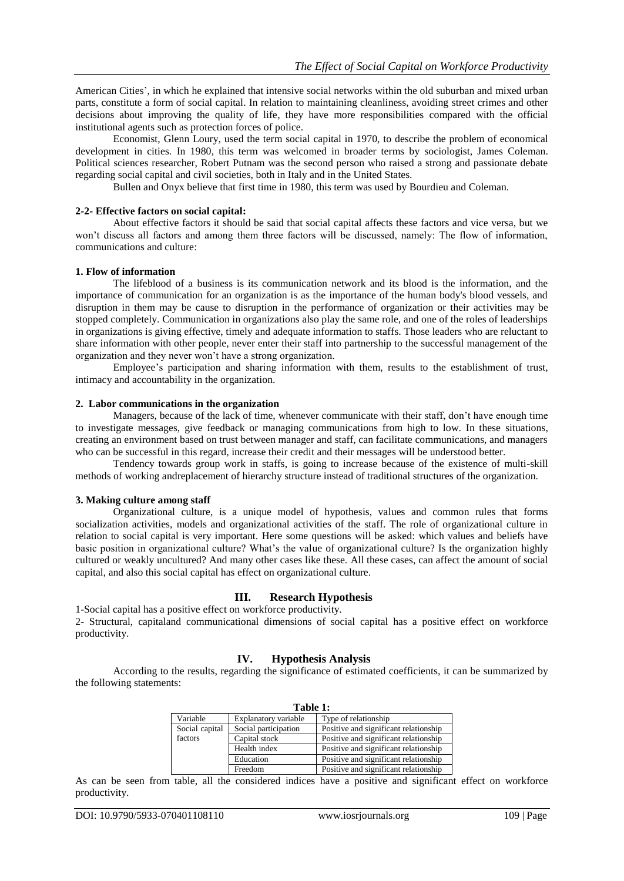American Cities', in which he explained that intensive social networks within the old suburban and mixed urban parts, constitute a form of social capital. In relation to maintaining cleanliness, avoiding street crimes and other decisions about improving the quality of life, they have more responsibilities compared with the official institutional agents such as protection forces of police.

Economist, Glenn Loury, used the term social capital in 1970, to describe the problem of economical development in cities. In 1980, this term was welcomed in broader terms by sociologist, James Coleman. Political sciences researcher, Robert Putnam was the second person who raised a strong and passionate debate regarding social capital and civil societies, both in Italy and in the United States.

Bullen and Onyx believe that first time in 1980, this term was used by Bourdieu and Coleman.

#### **2-2- Effective factors on social capital:**

About effective factors it should be said that social capital affects these factors and vice versa, but we won't discuss all factors and among them three factors will be discussed, namely: The flow of information, communications and culture:

#### **1. Flow of information**

The lifeblood of a business is its communication network and its blood is the information, and the importance of communication for an organization is as the importance of the human body's blood vessels, and disruption in them may be cause to disruption in the performance of organization or their activities may be stopped completely. Communication in organizations also play the same role, and one of the roles of leaderships in organizations is giving effective, timely and adequate information to staffs. Those leaders who are reluctant to share information with other people, never enter their staff into partnership to the successful management of the organization and they never won"t have a strong organization.

Employee"s participation and sharing information with them, results to the establishment of trust, intimacy and accountability in the organization.

#### **2. Labor communications in the organization**

Managers, because of the lack of time, whenever communicate with their staff, don"t have enough time to investigate messages, give feedback or managing communications from high to low. In these situations, creating an environment based on trust between manager and staff, can facilitate communications, and managers who can be successful in this regard, increase their credit and their messages will be understood better.

Tendency towards group work in staffs, is going to increase because of the existence of multi-skill methods of working andreplacement of hierarchy structure instead of traditional structures of the organization.

#### **3. Making culture among staff**

Organizational culture, is a unique model of hypothesis, values and common rules that forms socialization activities, models and organizational activities of the staff. The role of organizational culture in relation to social capital is very important. Here some questions will be asked: which values and beliefs have basic position in organizational culture? What's the value of organizational culture? Is the organization highly cultured or weakly uncultured? And many other cases like these. All these cases, can affect the amount of social capital, and also this social capital has effect on organizational culture.

### **III. Research Hypothesis**

1-Social capital has a positive effect on workforce productivity. 2- Structural, capitaland communicational dimensions of social capital has a positive effect on workforce productivity.

#### **IV. Hypothesis Analysis**

According to the results, regarding the significance of estimated coefficients, it can be summarized by the following statements:

| Table 1:       |                      |                                       |
|----------------|----------------------|---------------------------------------|
| Variable       | Explanatory variable | Type of relationship                  |
| Social capital | Social participation | Positive and significant relationship |
| factors        | Capital stock        | Positive and significant relationship |
|                | Health index         | Positive and significant relationship |
|                | Education            | Positive and significant relationship |
|                | Freedom              | Positive and significant relationship |

As can be seen from table, all the considered indices have a positive and significant effect on workforce productivity.